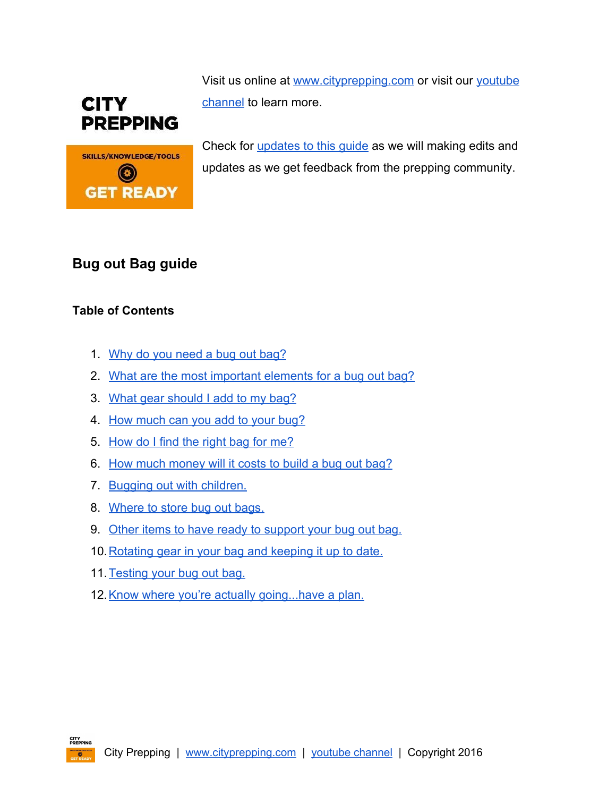



Visit us online at [www.cityprepping.com](http://www.cityprepping.com/) or visit our [youtube](https://www.youtube.com/channel/UCmb2QRAjdnkse21CtxAQ-cA) [channel](https://www.youtube.com/channel/UCmb2QRAjdnkse21CtxAQ-cA) to learn more.

Check for [updates](http://www.cityprepping.com/downloads/#familybugoutbag) to this quide as we will making edits and updates as we get feedback from the prepping community.

# **Bug out Bag guide**

# **Table of Contents**

- 1. Why do you [need](#page-1-0) a bug out bag?
- 2. What are the most [important](#page-1-1) elements for a bug out bag?
- 3. What gear [should](#page-3-0) I add to my bag?
- 4. How [much](#page-6-0) can you add to your bug?
- 5. [How](#page-7-0) do I find the right bag for me?
- 6. How much [money](#page-8-0) will it costs to build a bug out bag?
- 7. Bugging out with [children.](#page-8-1)
- 8. [Where](#page-15-0) to store bug out bags.
- 9. Other items to have ready to [support](#page-16-0) your bug out bag.
- 10. [Rotating](#page-16-1) gear in your bag and keeping it up to date.
- 11. [Testing](#page-17-0) your bug out bag.
- 12. Know where you're actually [going...have](#page-18-0) a plan.

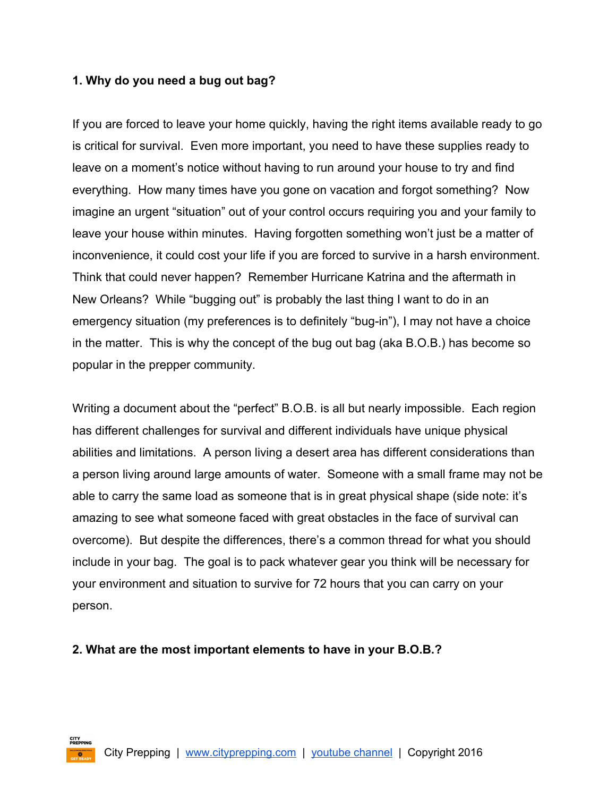### <span id="page-1-0"></span>**1. Why do you need a bug out bag?**

If you are forced to leave your home quickly, having the right items available ready to go is critical for survival. Even more important, you need to have these supplies ready to leave on a moment's notice without having to run around your house to try and find everything. How many times have you gone on vacation and forgot something? Now imagine an urgent "situation" out of your control occurs requiring you and your family to leave your house within minutes. Having forgotten something won't just be a matter of inconvenience, it could cost your life if you are forced to survive in a harsh environment. Think that could never happen? Remember Hurricane Katrina and the aftermath in New Orleans? While "bugging out" is probably the last thing I want to do in an emergency situation (my preferences is to definitely "bug-in"), I may not have a choice in the matter. This is why the concept of the bug out bag (aka B.O.B.) has become so popular in the prepper community.

Writing a document about the "perfect" B.O.B. is all but nearly impossible. Each region has different challenges for survival and different individuals have unique physical abilities and limitations. A person living a desert area has different considerations than a person living around large amounts of water. Someone with a small frame may not be able to carry the same load as someone that is in great physical shape (side note: it's amazing to see what someone faced with great obstacles in the face of survival can overcome). But despite the differences, there's a common thread for what you should include in your bag. The goal is to pack whatever gear you think will be necessary for your environment and situation to survive for 72 hours that you can carry on your person.

#### <span id="page-1-1"></span>**2. What are the most important elements to have in your B.O.B.?**

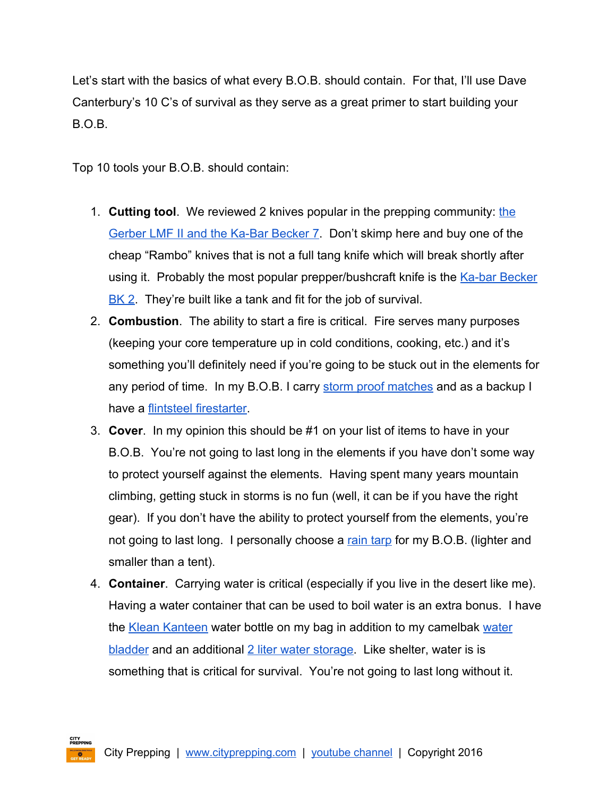Let's start with the basics of what every B.O.B. should contain. For that, I'll use Dave Canterbury's 10 C's of survival as they serve as a great primer to start building your B.O.B.

Top 10 tools your B.O.B. should contain:

- 1. **Cutting tool**. We reviewed 2 knives popular in the prepping community: [the](http://www.cityprepping.com/gerber-lmf-ii-survival-knife-vs-ka-bar-becker-bk7/) Gerber LMF II and the Ka-Bar Becker 7. Don't skimp here and buy one of the cheap "Rambo" knives that is not a full tang knife which will break shortly after using it. Probably the most popular prepper/bushcraft knife is the Ka-bar [Becker](http://amzn.to/28TR4aI) [BK](http://amzn.to/28TR4aI) 2. They're built like a tank and fit for the job of survival.
- 2. **Combustion**. The ability to start a fire is critical. Fire serves many purposes (keeping your core temperature up in cold conditions, cooking, etc.) and it's something you'll definitely need if you're going to be stuck out in the elements for any period of time. In my B.O.B. I carry [s](http://amzn.to/1QlB4gc)torm proof [matches](http://amzn.to/1QlB4gc) and as a backup I have a [f](http://amzn.to/1RkTDid)lintsteel [firestarter.](http://amzn.to/1RkTDid)
- 3. **Cover**. In my opinion this should be #1 on your list of items to have in your B.O.B. You're not going to last long in the elements if you have don't some way to protect yourself against the elements. Having spent many years mountain climbing, getting stuck in storms is no fun (well, it can be if you have the right gear). If you don't have the ability to protect yourself from the elements, you're not going to last long. I personally choose a rain [tarp](http://amzn.to/1REY8a0) for my B.O.B. (lighter and smaller than a tent).
- 4. **Container**. Carrying water is critical (especially if you live in the desert like me). Having a water container that can be used to boil water is an extra bonus. I have the Klean [Kanteen](http://amzn.to/1QlDdIW) [water](http://amzn.to/1RkYWyb) bottle on my bag in addition to my camelbak water [bladder](http://amzn.to/1RkYWyb) and an additional 2 liter water [storage.](http://amzn.to/28MljP0) Like shelter, water is is something that is critical for survival. You're not going to last long without it.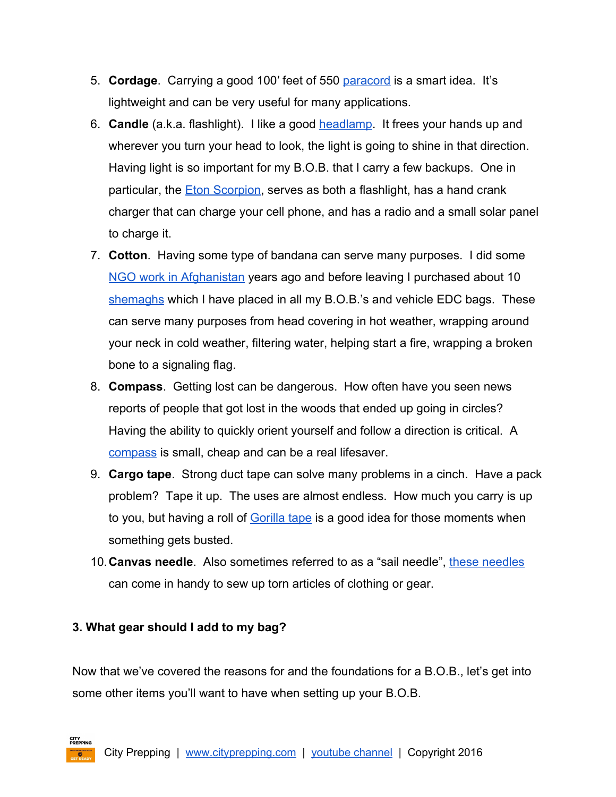- 5. **Cordage**. Carrying a good 100′ feet of 550 [paracord](http://amzn.to/1REZTEg) is a smart idea. It's lightweight and can be very useful for many applications.
- 6. **Candle**(a.k.a. flashlight). I like a good [headlamp.](http://amzn.to/1T6MJD5) It frees your hands up and wherever you turn your head to look, the light is going to shine in that direction. Having light is so important for my B.O.B. that I carry a few backups. One in particular, the [E](http://amzn.to/1QlG7NF)ton [Scorpion,](http://amzn.to/1QlG7NF) serves as both a flashlight, has a hand crank charger that can charge your cell phone, and has a radio and a small solar panel to charge it.
- 7. **Cotton**. Having some type of bandana can serve many purposes. I did some NGO work in [Afghanistan](https://www.youtube.com/watch?v=UktdKCUYk4s) years ago and before leaving I purchased about 10 [shemaghs](http://amzn.to/1Rl0QPo) which I have placed in all my B.O.B.'s and vehicle EDC bags. These can serve many purposes from head covering in hot weather, wrapping around your neck in cold weather, filtering water, helping start a fire, wrapping a broken bone to a signaling flag.
- 8. **Compass**. Getting lost can be dangerous. How often have you seen news reports of people that got lost in the woods that ended up going in circles? Having the ability to quickly orient yourself and follow a direction is critical. A [compass](http://amzn.to/1T6NJHs) is small, cheap and can be a real lifesaver.
- 9. **Cargo tape**. Strong duct tape can solve many problems in a cinch. Have a pack problem? Tape it up. The uses are almost endless. How much you carry is up to you, but having a roll o[f](http://amzn.to/1T6Occz) [Gorilla](http://amzn.to/1T6Occz) tape is a good idea for those moments when something gets busted.
- 10.**Canvas needle**. Also sometimes referred to as a "sail needle", these [needles](http://amzn.to/28O6DRV) can come in handy to sew up torn articles of clothing or gear.

## <span id="page-3-0"></span>**3. What gear should I add to my bag?**

Now that we've covered the reasons for and the foundations for a B.O.B., let's get into some other items you'll want to have when setting up your B.O.B.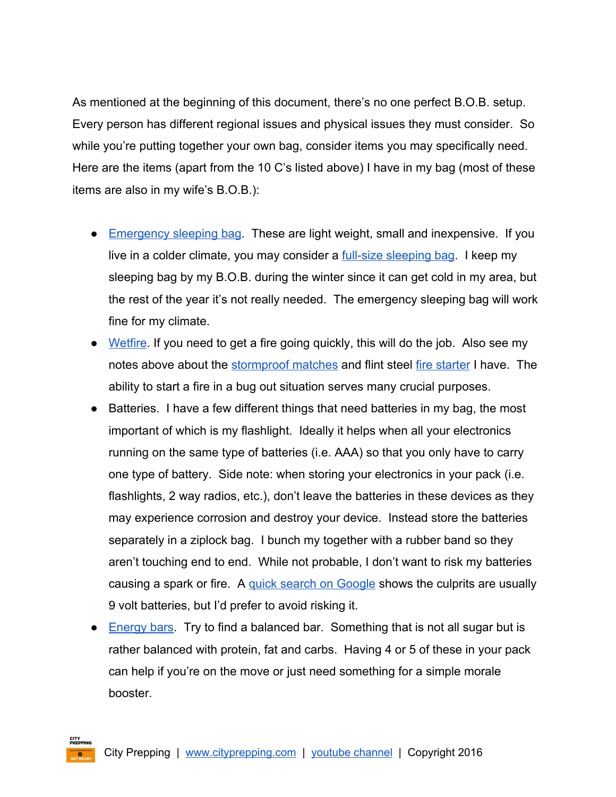As mentioned at the beginning of this document, there's no one perfect B.O.B. setup. Every person has different regional issues and physical issues they must consider. So while you're putting together your own bag, consider items you may specifically need. Here are the items (apart from the 10 C's listed above) I have in my bag (most of these items are also in my wife's B.O.B.):

- [Emergency](http://amzn.to/1poAFAO) sleeping bag. These are light weight, small and inexpensive. If you live in a colder climate, you may consider a <u>full-size [sleeping](http://amzn.to/28NOV0k) bag</u>. I keep my sleeping bag by my B.O.B. during the winter since it can get cold in my area, but the rest of the year it's not really needed. The emergency sleeping bag will work fine for my climate.
- [Wetfire](http://amzn.to/1Qtob1v). If you need to get a fire going quickly, this will do the job. Also see my notes above about the [stormproof](http://amzn.to/1QlB4gc) matches and [f](http://amzn.to/1RkTDid)lint steel fire [starter](http://amzn.to/1RkTDid) I have. The ability to start a fire in a bug out situation serves many crucial purposes.
- Batteries. I have a few different things that need batteries in my bag, the most important of which is my flashlight. Ideally it helps when all your electronics running on the same type of batteries (i.e. AAA) so that you only have to carry one type of battery. Side note: when storing your electronics in your pack (i.e. flashlights, 2 way radios, etc.), don't leave the batteries in these devices as they may experience corrosion and destroy your device. Instead store the batteries separately in a ziplock bag. I bunch my together with a rubber band so they aren't touching end to end. While not probable, I don't want to risk my batteries causing a spark or fire. A [q](https://www.google.com/webhp?sourceid=chrome-instant&ion=1&espv=2&es_th=1&ie=UTF-8#q=batteries%20touching%20cause%20fire)uick search on [Google](https://www.google.com/webhp?sourceid=chrome-instant&ion=1&espv=2&es_th=1&ie=UTF-8#q=batteries%20touching%20cause%20fire) shows the culprits are usually 9 volt batteries, but I'd prefer to avoid risking it.
- [Energy](http://amzn.to/1poBrhe) bars. Try to find a balanced bar. Something that is not all sugar but is rather balanced with protein, fat and carbs. Having 4 or 5 of these in your pack can help if you're on the move or just need something for a simple morale booster.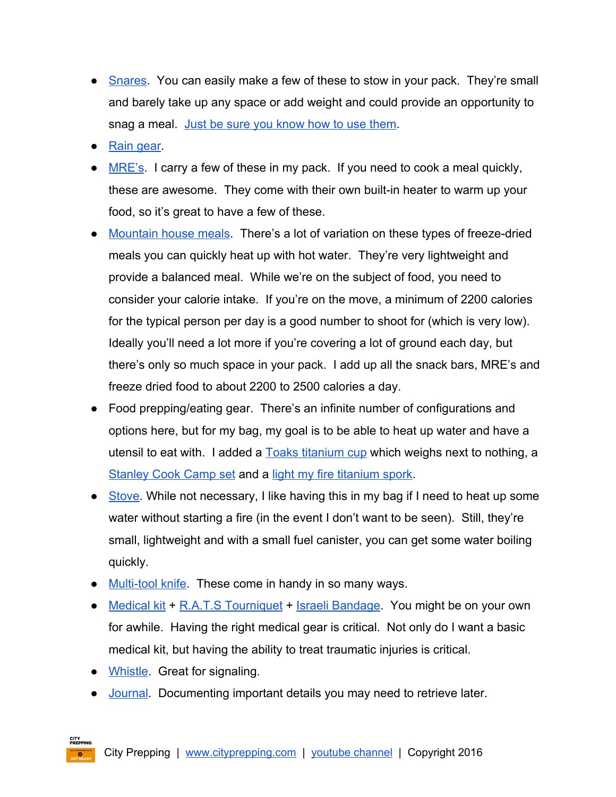- [Snares](http://www.artofmanliness.com/2012/03/29/how-to-build-a-small-game-survival-snare/). You can easily make a few of these to stow in your pack. They're small and barely take up any space or add weight and could provide an opportunity to snag a meal. Just be sure you [know](http://www.artofmanliness.com/2012/03/29/how-to-build-a-small-game-survival-snare/) how to use them.
- Rain [gear.](http://amzn.to/1poC8aq)
- $\bullet$  [MRE's.](http://amzn.to/1UAEdvE) I carry a few of these in my pack. If you need to cook a meal quickly, these are awesome. They come with their own built-in heater to warm up your food, so it's great to have a few of these.
- [Mountain](http://amzn.to/1poCoGc) house meals. There's a lot of variation on these types of freeze-dried meals you can quickly heat up with hot water. They're very lightweight and provide a balanced meal. While we're on the subject of food, you need to consider your calorie intake. If you're on the move, a minimum of 2200 calories for the typical person per day is a good number to shoot for (which is very low). Ideally you'll need a lot more if you're covering a lot of ground each day, but there's only so much space in your pack. I add up all the snack bars, MRE's and freeze dried food to about 2200 to 2500 calories a day.
- Food prepping/eating gear. There's an infinite number of configurations and options here, but for my bag, my goal is to be able to heat up water and have a utensil to eat with. I added a **[T](http://amzn.to/1TU7aSP)oaks [titanium](http://amzn.to/1TU7aSP) cup** which weighs next to nothing, a [Stanley](http://amzn.to/1QtqUIj) Cook Camp set and a [l](http://amzn.to/1TU7qBf)ight my fire [titanium](http://amzn.to/1TU7qBf) spork.
- [Stove.](http://amzn.to/1UAFyma) While not necessary, I like having this in my bag if I need to heat up some water without starting a fire (in the event I don't want to be seen). Still, they're small, lightweight and with a small fuel canister, you can get some water boiling quickly.
- Multi-tool knife. These come in handy in so many ways.
- [Medical](http://amzn.to/1QtrNjW) kit + R.A.T.S [Tourniquet](http://amzn.to/1QtrExa) [+](http://amzn.to/1Qtulij) Israeli [Bandage.](http://amzn.to/1Qtulij) You might be on your own for awhile. Having the right medical gear is critical. Not only do I want a basic medical kit, but having the ability to treat traumatic injuries is critical.
- [Whistle.](http://amzn.to/1QtrKVp) Great for signaling.
- [Journal.](http://amzn.to/1QtrVA0) Documenting important details you may need to retrieve later.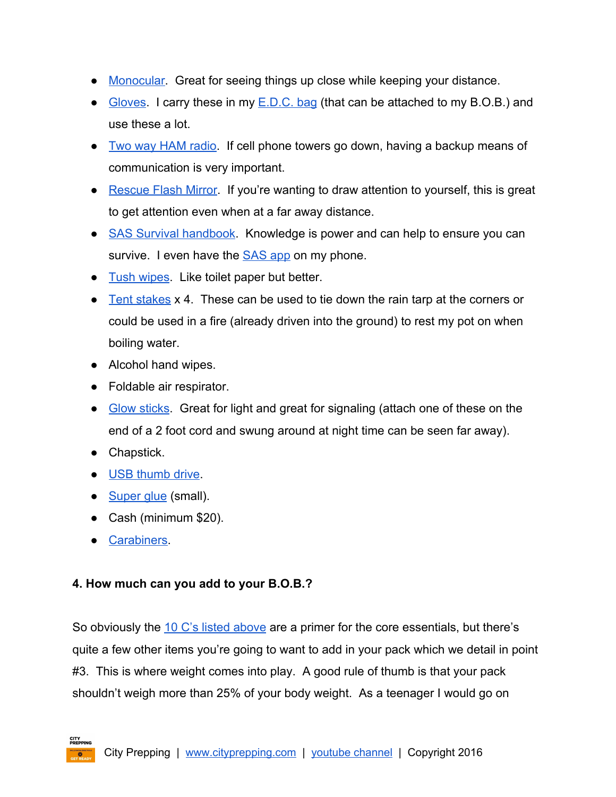- [Monocular](http://amzn.to/1Qts6v9). Great for seeing things up close while keeping your distance.
- [Gloves.](http://amzn.to/1TU8Z1W) I carry these in my  $E.D.C.$  bag (that can be attached to my  $B.O.B.$ ) and use these a lot.
- Two way HAM [radio.](http://amzn.to/1UAGPtr) If cell phone towers go down, having a backup means of communication is very important.
- [Rescue](http://amzn.to/1TUblhe) Flash Mirror. If you're wanting to draw attention to yourself, this is great to get attention even when at a far away distance.
- SAS Survival [handbook.](http://amzn.to/1QttVIG) Knowledge is power and can help to ensure you can survive. I even have the **[SAS](http://amzn.to/28Pcjfb)** app on my phone.
- Tush [wipes.](http://amzn.to/1TUbFg8) Like toilet paper but better.
- Tent [stakes](http://amzn.to/28PcrLB) x 4. These can be used to tie down the rain tarp at the corners or could be used in a fire (already driven into the ground) to rest my pot on when boiling water.
- Alcohol hand wipes.
- Foldable air respirator.
- Glow [sticks.](http://amzn.to/28JUbAl) Great for light and great for signaling (attach one of these on the end of a 2 foot cord and swung around at night time can be seen far away).
- Chapstick.
- USB [thumb](http://amzn.to/28MAUi7) drive.
- [Super](http://amzn.to/28Lr0zR) glue (small).
- Cash (minimum \$20).
- [Carabiners.](http://amzn.to/1Qtv7f3)

## <span id="page-6-0"></span>**4. How much can you add to your B.O.B.?**

So obviously the 10 C's listed [above](#page-1-1) are a primer for the core essentials, but there's quite a few other items you're going to want to add in your pack which we detail in point #3. This is where weight comes into play. A good rule of thumb is that your pack shouldn't weigh more than 25% of your body weight. As a teenager I would go on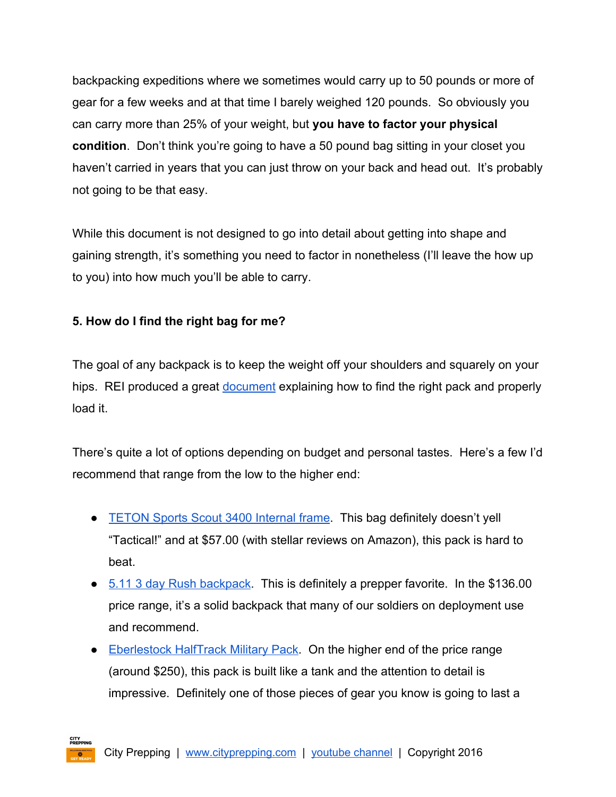backpacking expeditions where we sometimes would carry up to 50 pounds or more of gear for a few weeks and at that time I barely weighed 120 pounds. So obviously you can carry more than 25% of your weight, but **you have to factor your physical condition**. Don't think you're going to have a 50 pound bag sitting in your closet you haven't carried in years that you can just throw on your back and head out. It's probably not going to be that easy.

While this document is not designed to go into detail about getting into shape and gaining strength, it's something you need to factor in nonetheless (I'll leave the how up to you) into how much you'll be able to carry.

# <span id="page-7-0"></span>**5. How do I find the right bag for me?**

The goal of any backpack is to keep the weight off your shoulders and squarely on your hips. REI produced a great <u>[document](http://cityprepping.com/wp-content/uploads/2016/06/rei-backpacking-infographic.pdf)</u> explaining how to find the right pack and properly load it.

There's quite a lot of options depending on budget and personal tastes. Here's a few I'd recommend that range from the low to the higher end:

- [TETON](http://amzn.to/1nhBp9a) Sports Scout 3400 Internal frame. This bag definitely doesn't yell "Tactical!" and at \$57.00 (with stellar reviews on Amazon), this pack is hard to beat.
- 5.11 3 day Rush [backpack.](http://amzn.to/1nhBslx) This is definitely a prepper favorite. In the \$136.00 price range, it's a solid backpack that many of our soldiers on deployment use and recommend.
- [Eberlestock](http://amzn.to/1nhBxWg) HalfTrack Military Pack. On the higher end of the price range (around \$250), this pack is built like a tank and the attention to detail is impressive. Definitely one of those pieces of gear you know is going to last a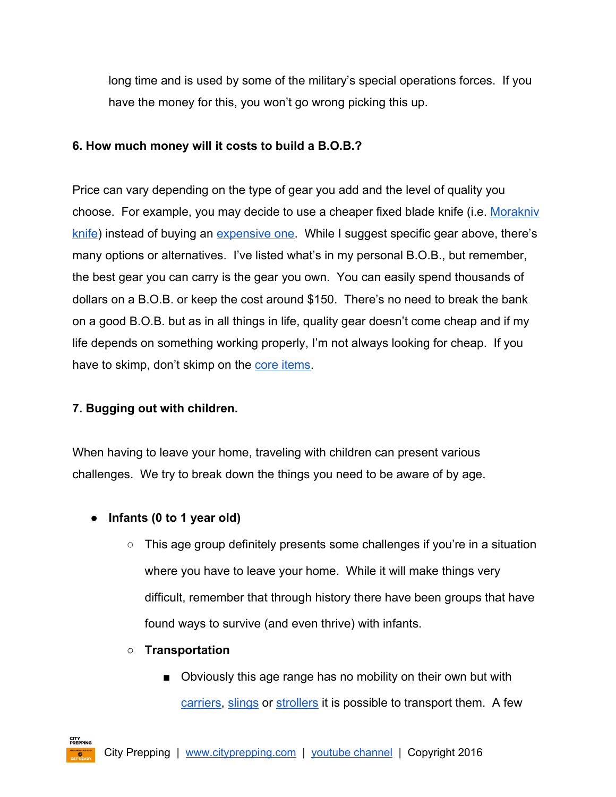long time and is used by some of the military's special operations forces. If you have the money for this, you won't go wrong picking this up.

## <span id="page-8-0"></span>**6. How much money will it costs to build a B.O.B.?**

Price can vary depending on the type of gear you add and the level of quality you choose. For example, you may decide to use a cheaper fixed blade knife (i.e. [Morakniv](http://amzn.to/28KSB4v) [knife\)](http://amzn.to/28KSB4v) instead of buying an [expensive](https://www.amazon.com/gp/product/B001N1DPDE/ref=as_li_qf_sp_asin_il_tl?ie=UTF8&tag=cityprep-20&camp=1789&creative=9325&linkCode=as2&creativeASIN=B001N1DPDE&linkId=a4ddf2d938e07a872aed842aa3f1e747) one. While I suggest specific gear above, there's many options or alternatives. I've listed what's in my personal B.O.B., but remember, the best gear you can carry is the gear you own. You can easily spend thousands of dollars on a B.O.B. or keep the cost around \$150. There's no need to break the bank on a good B.O.B. but as in all things in life, quality gear doesn't come cheap and if my life depends on something working properly, I'm not always looking for cheap. If you have to skimp, don't skimp on the core [items.](#page-1-1)

# <span id="page-8-1"></span>**7. Bugging out with children.**

When having to leave your home, traveling with children can present various challenges. We try to break down the things you need to be aware of by age.

- **● Infants (0 to 1 year old)**
	- $\circ$  This age group definitely presents some challenges if you're in a situation where you have to leave your home. While it will make things very difficult, remember that through history there have been groups that have found ways to survive (and even thrive) with infants.
	- **○ Transportation**
		- Obviously this age range has no mobility on their own but with [carriers,](http://amzn.to/28OapMl) [slings](http://amzn.to/28Sne7P) or [strollers](http://amzn.to/28OagbW) it is possible to transport them. A few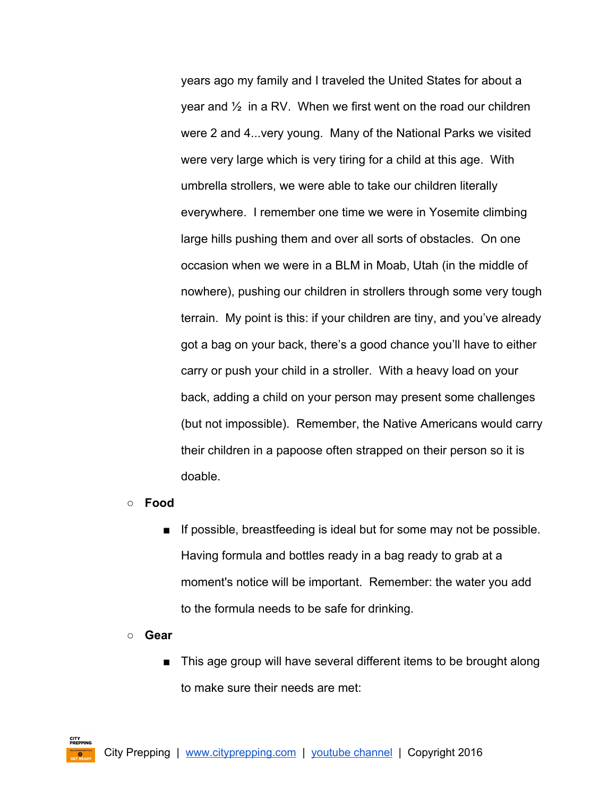years ago my family and I traveled the United States for about a year and  $\frac{1}{2}$  in a RV. When we first went on the road our children were 2 and 4...very young. Many of the National Parks we visited were very large which is very tiring for a child at this age. With umbrella strollers, we were able to take our children literally everywhere. I remember one time we were in Yosemite climbing large hills pushing them and over all sorts of obstacles. On one occasion when we were in a BLM in Moab, Utah (in the middle of nowhere), pushing our children in strollers through some very tough terrain. My point is this: if your children are tiny, and you've already got a bag on your back, there's a good chance you'll have to either carry or push your child in a stroller. With a heavy load on your back, adding a child on your person may present some challenges (but not impossible). Remember, the Native Americans would carry their children in a papoose often strapped on their person so it is doable.

- **○ Food**
	- **■** If possible, breastfeeding is ideal but for some may not be possible. Having formula and bottles ready in a bag ready to grab at a moment's notice will be important. Remember: the water you add to the formula needs to be safe for drinking.
- **○ Gear**
	- This age group will have several different items to be brought along to make sure their needs are met: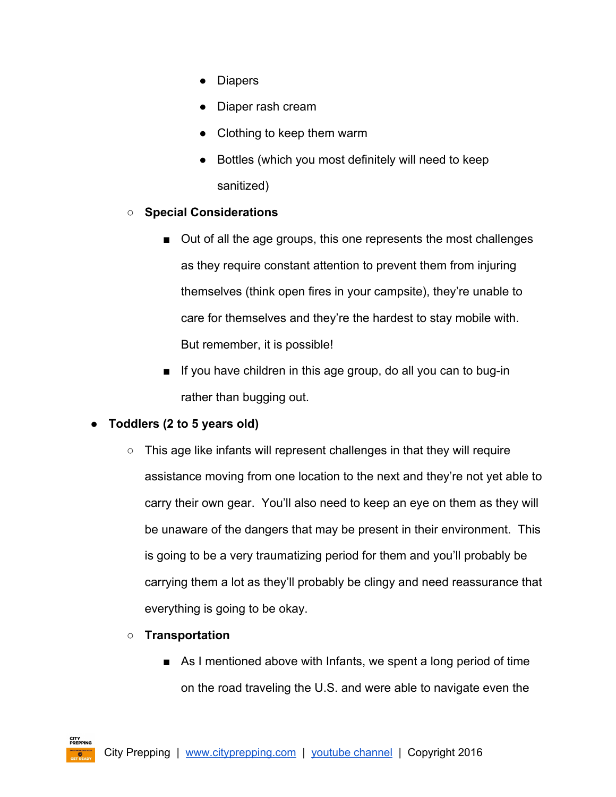- Diapers
- Diaper rash cream
- Clothing to keep them warm
- Bottles (which you most definitely will need to keep sanitized)

## **○ Special Considerations**

- Out of all the age groups, this one represents the most challenges as they require constant attention to prevent them from injuring themselves (think open fires in your campsite), they're unable to care for themselves and they're the hardest to stay mobile with. But remember, it is possible!
- $\blacksquare$  If you have children in this age group, do all you can to bug-in rather than bugging out.

## **● Toddlers (2 to 5 years old)**

- This age like infants will represent challenges in that they will require assistance moving from one location to the next and they're not yet able to carry their own gear. You'll also need to keep an eye on them as they will be unaware of the dangers that may be present in their environment. This is going to be a very traumatizing period for them and you'll probably be carrying them a lot as they'll probably be clingy and need reassurance that everything is going to be okay.
- **○ Transportation**
	- As I mentioned above with Infants, we spent a long period of time on the road traveling the U.S. and were able to navigate even the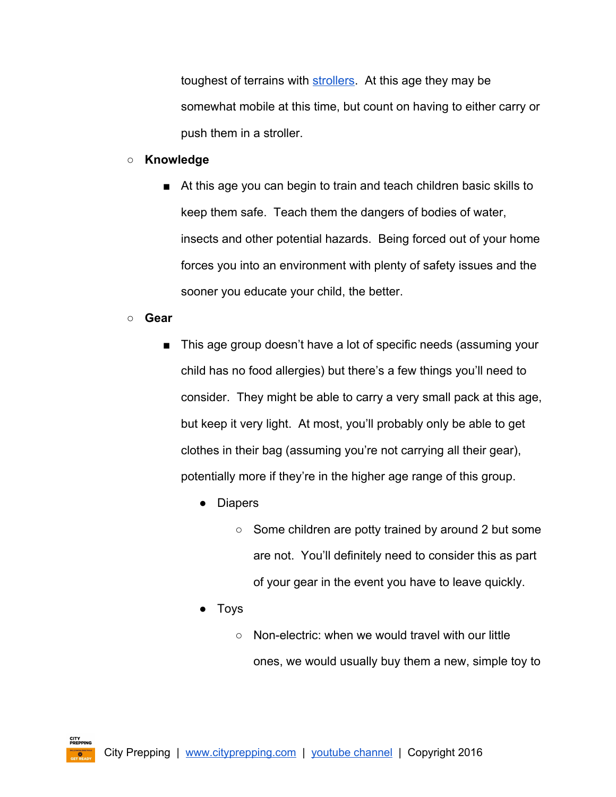toughest of terrains with [strollers.](http://amzn.to/28OagbW) At this age they may be somewhat mobile at this time, but count on having to either carry or push them in a stroller.

#### **○ Knowledge**

■ At this age you can begin to train and teach children basic skills to keep them safe. Teach them the dangers of bodies of water, insects and other potential hazards. Being forced out of your home forces you into an environment with plenty of safety issues and the sooner you educate your child, the better.

#### **○ Gear**

- This age group doesn't have a lot of specific needs (assuming your child has no food allergies) but there's a few things you'll need to consider. They might be able to carry a very small pack at this age, but keep it very light. At most, you'll probably only be able to get clothes in their bag (assuming you're not carrying all their gear), potentially more if they're in the higher age range of this group.
	- Diapers
		- Some children are potty trained by around 2 but some are not. You'll definitely need to consider this as part of your gear in the event you have to leave quickly.
	- **Toys** 
		- Non-electric: when we would travel with our little ones, we would usually buy them a new, simple toy to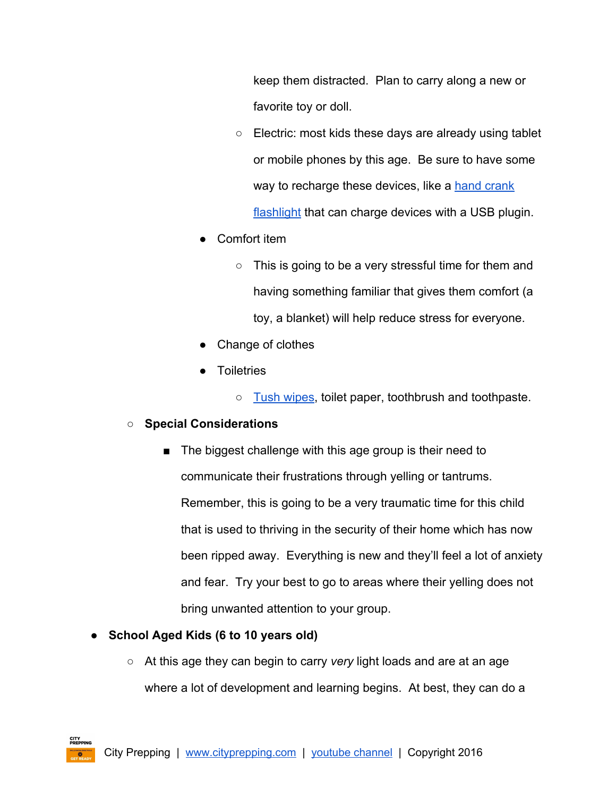keep them distracted. Plan to carry along a new or favorite toy or doll.

- Electric: most kids these days are already using tablet or mobile phones by this age. Be sure to have some way to recharge these devices, like a hand [crank](http://amzn.to/1QlG7NF) [flashlight](http://amzn.to/1QlG7NF) that can charge devices with a USB plugin.
- Comfort item
	- $\circ$  This is going to be a very stressful time for them and having something familiar that gives them comfort (a toy, a blanket) will help reduce stress for everyone.
- Change of clothes
- Toiletries

o Tush [wipes,](http://amzn.to/1TUbFg8) toilet paper, toothbrush and toothpaste.

# **○ Special Considerations**

- The biggest challenge with this age group is their need to communicate their frustrations through yelling or tantrums. Remember, this is going to be a very traumatic time for this child that is used to thriving in the security of their home which has now been ripped away. Everything is new and they'll feel a lot of anxiety and fear. Try your best to go to areas where their yelling does not bring unwanted attention to your group.
- **● School Aged Kids (6 to 10 years old)**
	- At this age they can begin to carry *very* light loads and are at an age where a lot of development and learning begins. At best, they can do a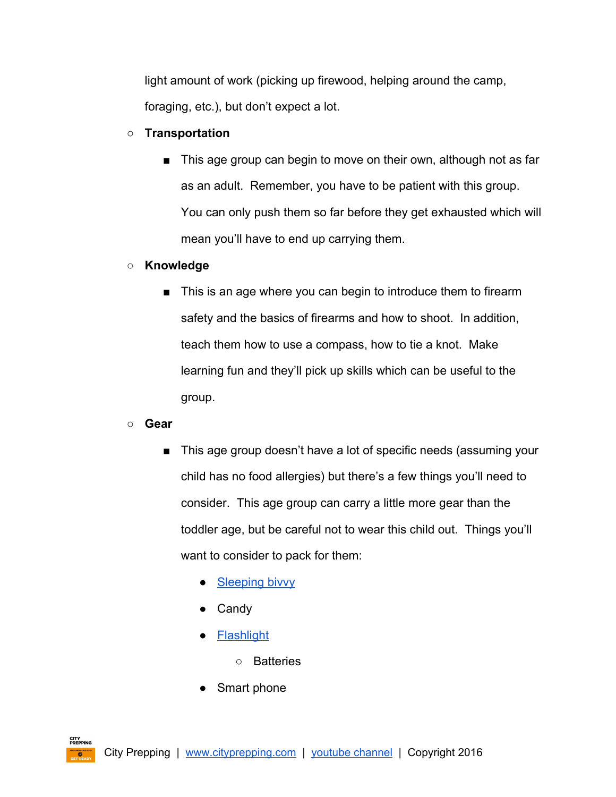light amount of work (picking up firewood, helping around the camp, foraging, etc.), but don't expect a lot.

- **○ Transportation**
	- This age group can begin to move on their own, although not as far as an adult. Remember, you have to be patient with this group. You can only push them so far before they get exhausted which will mean you'll have to end up carrying them.

# **○ Knowledge**

■ This is an age where you can begin to introduce them to firearm safety and the basics of firearms and how to shoot. In addition, teach them how to use a compass, how to tie a knot. Make learning fun and they'll pick up skills which can be useful to the group.

**○ Gear**

- This age group doesn't have a lot of specific needs (assuming your child has no food allergies) but there's a few things you'll need to consider. This age group can carry a little more gear than the toddler age, but be careful not to wear this child out. Things you'll want to consider to pack for them:
	- [Sleeping](http://amzn.to/1poAFAO) bivvy
	- Candy
	- **[Flashlight](http://amzn.to/28OCqBn)** 
		- Batteries
	- Smart phone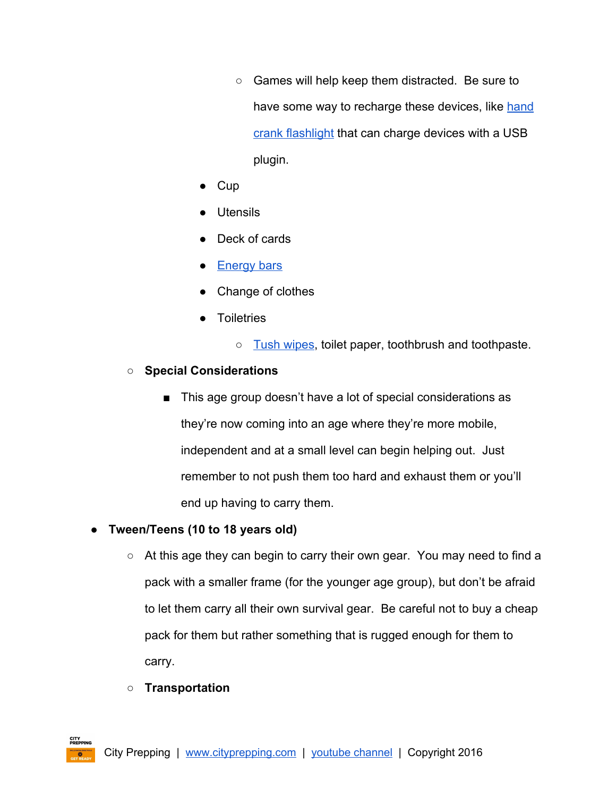- Games will help keep them distracted. Be sure to have some way to recharge these devices, like [hand](http://amzn.to/1QlG7NF) crank [flashlight](http://amzn.to/1QlG7NF) that can charge devices with a USB plugin.
- Cup
- **Utensils**
- Deck of cards
- [Energy](http://amzn.to/1poBrhe) bars
- Change of clothes
- Toiletries
	- Tush [wipes,](http://amzn.to/1TUbFg8) toilet paper, toothbrush and toothpaste.

# **○ Special Considerations**

■ This age group doesn't have a lot of special considerations as they're now coming into an age where they're more mobile, independent and at a small level can begin helping out. Just remember to not push them too hard and exhaust them or you'll end up having to carry them.

# **● Tween/Teens (10 to 18 years old)**

- At this age they can begin to carry their own gear. You may need to find a pack with a smaller frame (for the younger age group), but don't be afraid to let them carry all their own survival gear. Be careful not to buy a cheap pack for them but rather something that is rugged enough for them to carry.
- **○ Transportation**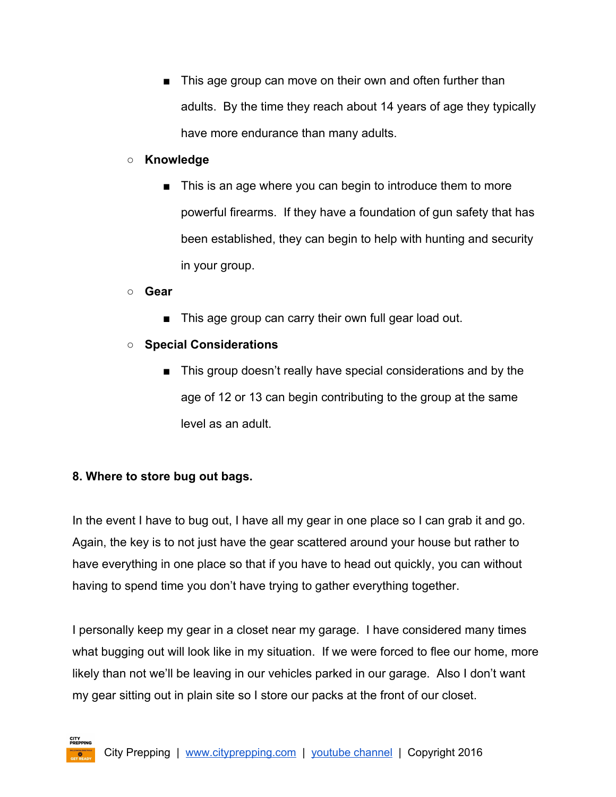■ This age group can move on their own and often further than adults. By the time they reach about 14 years of age they typically have more endurance than many adults.

### **○ Knowledge**

■ This is an age where you can begin to introduce them to more powerful firearms. If they have a foundation of gun safety that has been established, they can begin to help with hunting and security in your group.

**○ Gear**

- This age group can carry their own full gear load out.
- **○ Special Considerations**
	- This group doesn't really have special considerations and by the age of 12 or 13 can begin contributing to the group at the same level as an adult.

## <span id="page-15-0"></span>**8. Where to store bug out bags.**

In the event I have to bug out, I have all my gear in one place so I can grab it and go. Again, the key is to not just have the gear scattered around your house but rather to have everything in one place so that if you have to head out quickly, you can without having to spend time you don't have trying to gather everything together.

I personally keep my gear in a closet near my garage. I have considered many times what bugging out will look like in my situation. If we were forced to flee our home, more likely than not we'll be leaving in our vehicles parked in our garage. Also I don't want my gear sitting out in plain site so I store our packs at the front of our closet.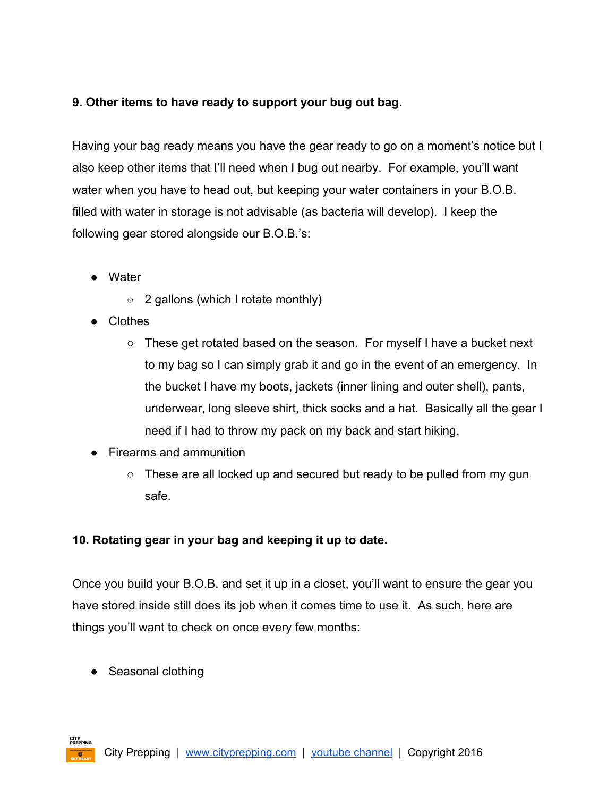# <span id="page-16-0"></span>**9. Other items to have ready to support your bug out bag.**

Having your bag ready means you have the gear ready to go on a moment's notice but I also keep other items that I'll need when I bug out nearby. For example, you'll want water when you have to head out, but keeping your water containers in your B.O.B. filled with water in storage is not advisable (as bacteria will develop). I keep the following gear stored alongside our B.O.B.'s:

- Water
	- $\circ$  2 gallons (which I rotate monthly)
- Clothes
	- These get rotated based on the season. For myself I have a bucket next to my bag so I can simply grab it and go in the event of an emergency. In the bucket I have my boots, jackets (inner lining and outer shell), pants, underwear, long sleeve shirt, thick socks and a hat. Basically all the gear I need if I had to throw my pack on my back and start hiking.
- Firearms and ammunition
	- These are all locked up and secured but ready to be pulled from my gun safe.

# <span id="page-16-1"></span>**10. Rotating gear in your bag and keeping it up to date.**

Once you build your B.O.B. and set it up in a closet, you'll want to ensure the gear you have stored inside still does its job when it comes time to use it. As such, here are things you'll want to check on once every few months:

• Seasonal clothing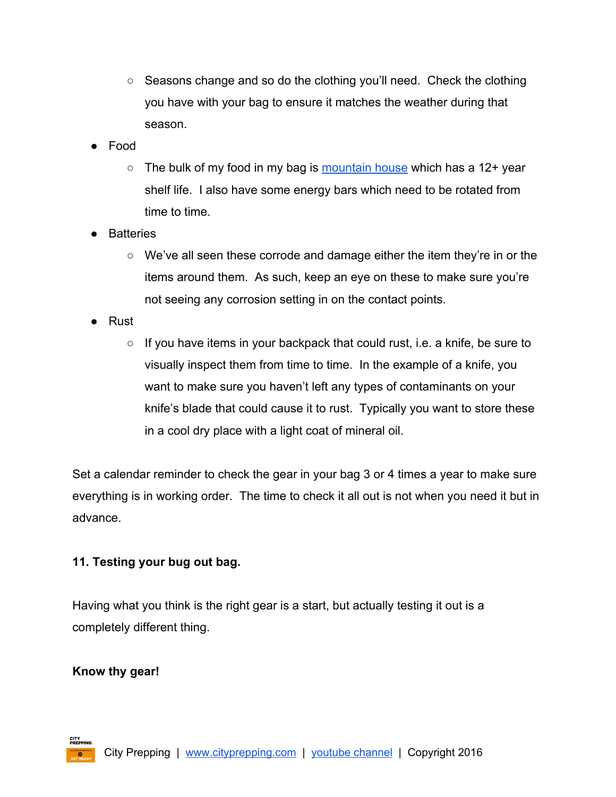- Seasons change and so do the clothing you'll need. Check the clothing you have with your bag to ensure it matches the weather during that season.
- Food
	- $\circ$  The bulk of my food in my bag is [mountain](http://amzn.to/1poCoGc) house which has a 12+ year shelf life. I also have some energy bars which need to be rotated from time to time.
- Batteries
	- We've all seen these corrode and damage either the item they're in or the items around them. As such, keep an eye on these to make sure you're not seeing any corrosion setting in on the contact points.
- Rust
	- $\circ$  If you have items in your backpack that could rust, i.e. a knife, be sure to visually inspect them from time to time. In the example of a knife, you want to make sure you haven't left any types of contaminants on your knife's blade that could cause it to rust. Typically you want to store these in a cool dry place with a light coat of mineral oil.

Set a calendar reminder to check the gear in your bag 3 or 4 times a year to make sure everything is in working order. The time to check it all out is not when you need it but in advance.

## <span id="page-17-0"></span>**11. Testing your bug out bag.**

Having what you think is the right gear is a start, but actually testing it out is a completely different thing.

## **Know thy gear!**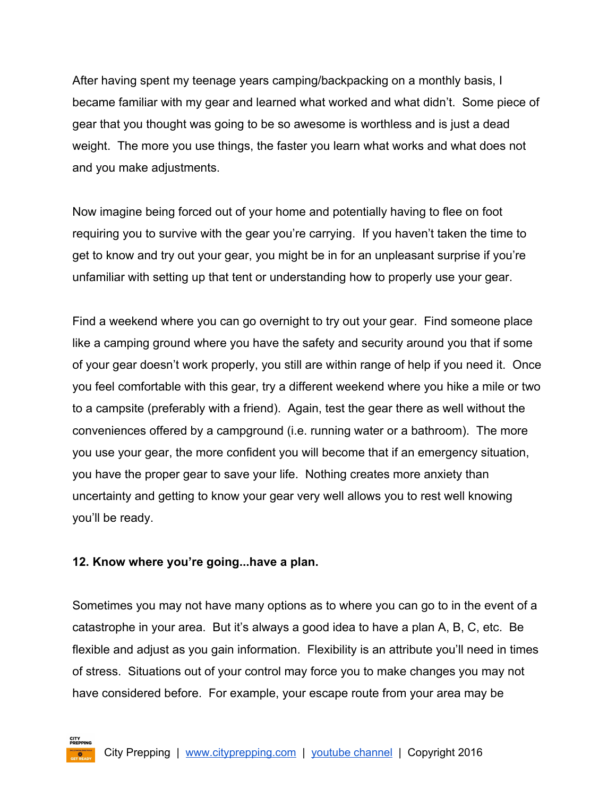After having spent my teenage years camping/backpacking on a monthly basis, I became familiar with my gear and learned what worked and what didn't. Some piece of gear that you thought was going to be so awesome is worthless and is just a dead weight. The more you use things, the faster you learn what works and what does not and you make adjustments.

Now imagine being forced out of your home and potentially having to flee on foot requiring you to survive with the gear you're carrying. If you haven't taken the time to get to know and try out your gear, you might be in for an unpleasant surprise if you're unfamiliar with setting up that tent or understanding how to properly use your gear.

Find a weekend where you can go overnight to try out your gear. Find someone place like a camping ground where you have the safety and security around you that if some of your gear doesn't work properly, you still are within range of help if you need it. Once you feel comfortable with this gear, try a different weekend where you hike a mile or two to a campsite (preferably with a friend). Again, test the gear there as well without the conveniences offered by a campground (i.e. running water or a bathroom). The more you use your gear, the more confident you will become that if an emergency situation, you have the proper gear to save your life. Nothing creates more anxiety than uncertainty and getting to know your gear very well allows you to rest well knowing you'll be ready.

#### <span id="page-18-0"></span>**12. Know where you're going...have a plan.**

Sometimes you may not have many options as to where you can go to in the event of a catastrophe in your area. But it's always a good idea to have a plan A, B, C, etc. Be flexible and adjust as you gain information. Flexibility is an attribute you'll need in times of stress. Situations out of your control may force you to make changes you may not have considered before. For example, your escape route from your area may be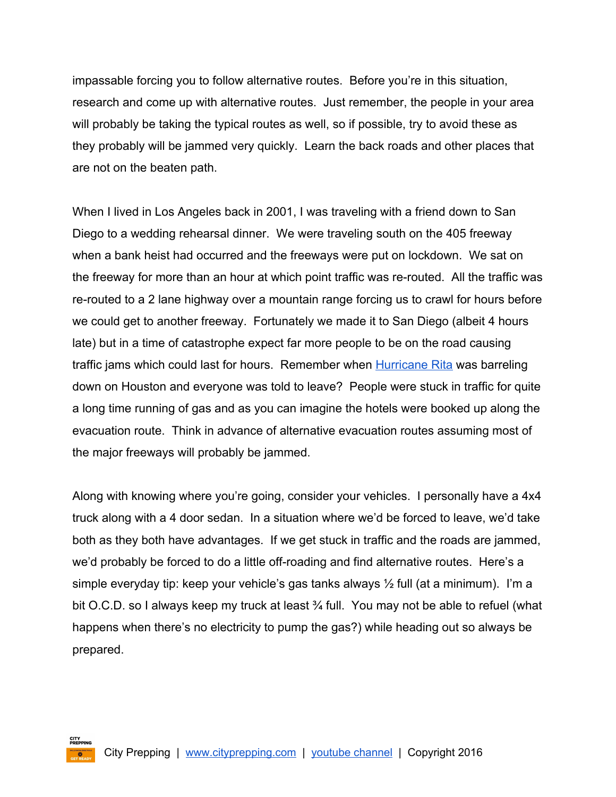impassable forcing you to follow alternative routes. Before you're in this situation, research and come up with alternative routes. Just remember, the people in your area will probably be taking the typical routes as well, so if possible, try to avoid these as they probably will be jammed very quickly. Learn the back roads and other places that are not on the beaten path.

When I lived in Los Angeles back in 2001, I was traveling with a friend down to San Diego to a wedding rehearsal dinner. We were traveling south on the 405 freeway when a bank heist had occurred and the freeways were put on lockdown. We sat on the freeway for more than an hour at which point traffic was re-routed. All the traffic was re-routed to a 2 lane highway over a mountain range forcing us to crawl for hours before we could get to another freeway. Fortunately we made it to San Diego (albeit 4 hours late) but in a time of catastrophe expect far more people to be on the road causing traffic jams which could last for hours. Remember when **[Hurricane](https://en.wikipedia.org/wiki/Hurricane_Rita) Rita** was barreling down on Houston and everyone was told to leave? People were stuck in traffic for quite a long time running of gas and as you can imagine the hotels were booked up along the evacuation route. Think in advance of alternative evacuation routes assuming most of the major freeways will probably be jammed.

Along with knowing where you're going, consider your vehicles. I personally have a 4x4 truck along with a 4 door sedan. In a situation where we'd be forced to leave, we'd take both as they both have advantages. If we get stuck in traffic and the roads are jammed, we'd probably be forced to do a little off-roading and find alternative routes. Here's a simple everyday tip: keep your vehicle's gas tanks always  $\frac{1}{2}$  full (at a minimum). I'm a bit O.C.D. so I always keep my truck at least 34 full. You may not be able to refuel (what happens when there's no electricity to pump the gas?) while heading out so always be prepared.